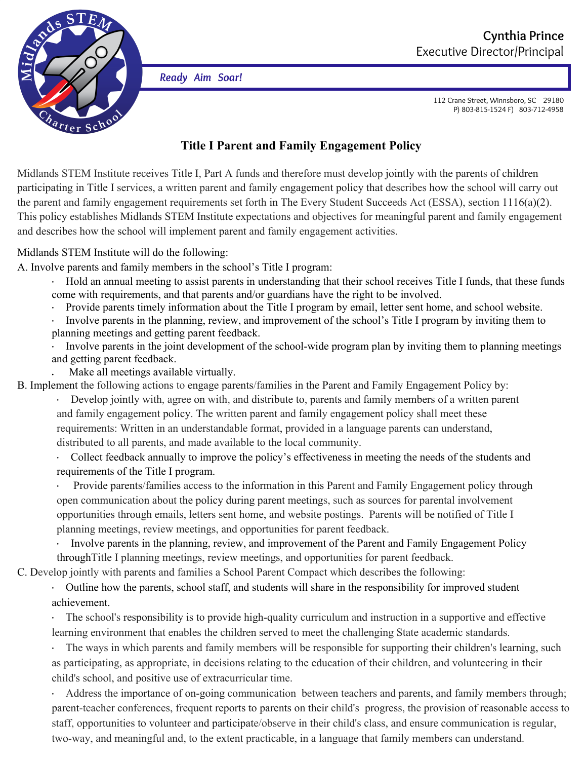

*Ready Aim Soar!*

112 Crane Street, Winnsboro, SC 29180 P) 803-815-1524 F) 803-712-4958

## **Title I Parent and Family Engagement Policy**

Midlands STEM Institute receives Title I, Part A funds and therefore must develop jointly with the parents of children participating in Title I services, a written parent and family engagement policy that describes how the school will carry out the parent and family engagement requirements set forth in The Every Student Succeeds Act (ESSA), section 1116(a)(2). This policy establishes Midlands STEM Institute expectations and objectives for meaningful parent and family engagement and describes how the school will implement parent and family engagement activities.

## Midlands STEM Institute will do the following:

A. Involve parents and family members in the school's Title I program:

- · Hold an annual meeting to assist parents in understanding that their school receives Title I funds, that these funds come with requirements, and that parents and/or guardians have the right to be involved.
- · Provide parents timely information about the Title I program by email, letter sent home, and school website.
- Involve parents in the planning, review, and improvement of the school's Title I program by inviting them to planning meetings and getting parent feedback.
- Involve parents in the joint development of the school-wide program plan by inviting them to planning meetings and getting parent feedback.
- Make all meetings available virtually.
- B. Implement the following actions to engage parents/families in the Parent and Family Engagement Policy by:
	- · Develop jointly with, agree on with, and distribute to, parents and family members of a written parent and family engagement policy. The written parent and family engagement policy shall meet these requirements: Written in an understandable format, provided in a language parents can understand, distributed to all parents, and made available to the local community.
	- · Collect feedback annually to improve the policy's effectiveness in meeting the needs of the students and requirements of the Title I program.

Provide parents/families access to the information in this Parent and Family Engagement policy through open communication about the policy during parent meetings, such as sources for parental involvement opportunities through emails, letters sent home, and website postings. Parents will be notified of Title I planning meetings, review meetings, and opportunities for parent feedback.

· Involve parents in the planning, review, and improvement of the Parent and Family Engagement Policy throughTitle I planning meetings, review meetings, and opportunities for parent feedback.

C. Develop jointly with parents and families a School Parent Compact which describes the following:

· Outline how the parents, school staff, and students will share in the responsibility for improved student achievement.

The school's responsibility is to provide high-quality curriculum and instruction in a supportive and effective learning environment that enables the children served to meet the challenging State academic standards.

The ways in which parents and family members will be responsible for supporting their children's learning, such as participating, as appropriate, in decisions relating to the education of their children, and volunteering in their child's school, and positive use of extracurricular time.

Address the importance of on-going communication between teachers and parents, and family members through; parent-teacher conferences, frequent reports to parents on their child's progress, the provision of reasonable access to staff, opportunities to volunteer and participate/observe in their child's class, and ensure communication is regular, two-way, and meaningful and, to the extent practicable, in a language that family members can understand.